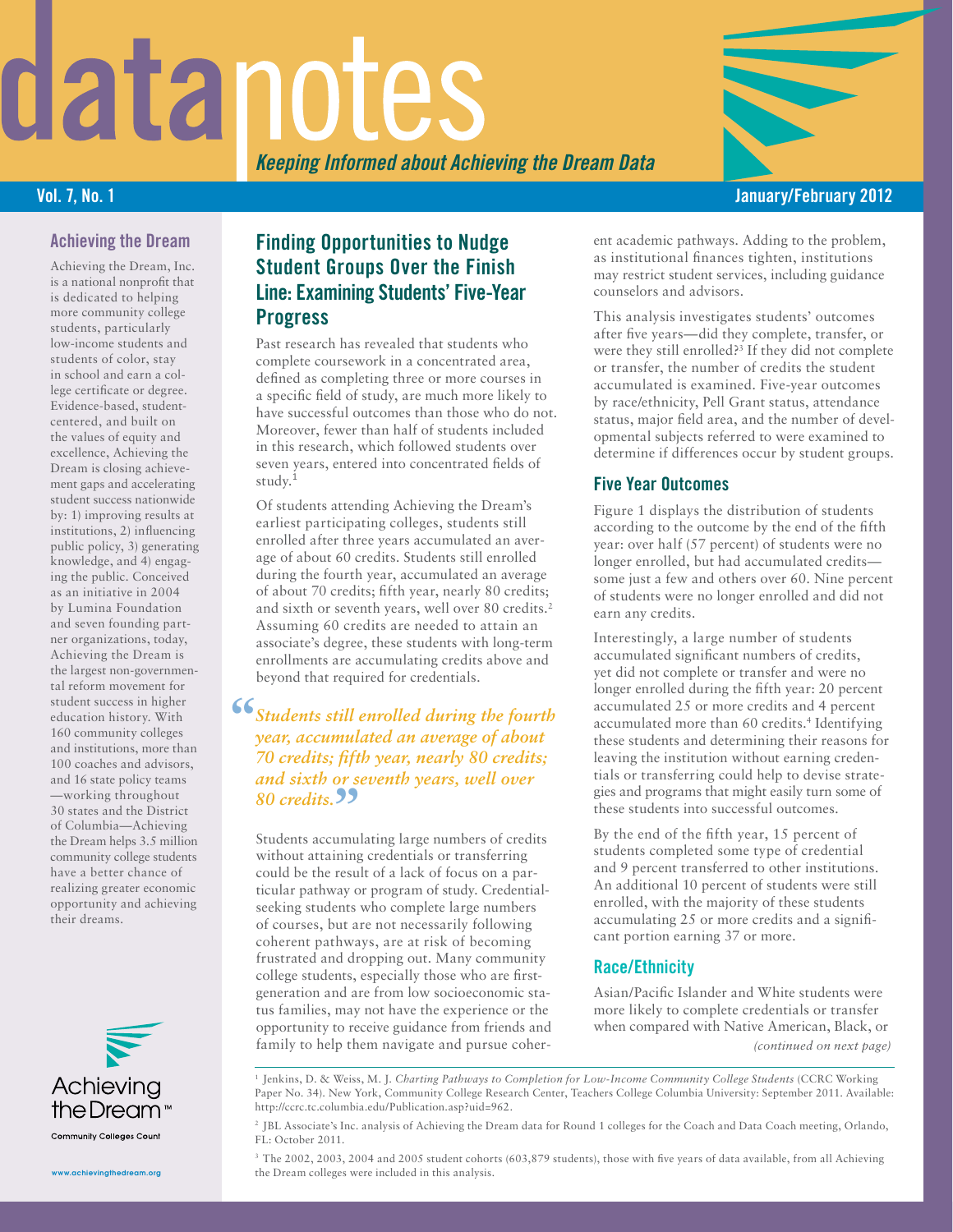# datanotes

*Keeping Informed about Achieving the Dream Data*

## Vol. 7, No. 1 January/February 2012

### Achieving the Dream

Achieving the Dream, Inc. is a national nonprofit that is dedicated to helping more community college students, particularly low-income students and students of color, stay in school and earn a college certificate or degree. Evidence-based, studentcentered, and built on the values of equity and excellence, Achieving the Dream is closing achievement gaps and accelerating student success nationwide by: 1) improving results at institutions, 2) influencing public policy, 3) generating knowledge, and 4) engaging the public. Conceived as an initiative in 2004 by Lumina Foundation and seven founding partner organizations, today, Achieving the Dream is the largest non-governmental reform movement for student success in higher education history. With 160 community colleges and institutions, more than 100 coaches and advisors, and 16 state policy teams —working throughout 30 states and the District of Columbia—Achieving the Dream helps 3.5 million community college students have a better chance of realizing greater economic opportunity and achieving their dreams.



www.achievingthedream.org

## Finding Opportunities to Nudge Student Groups Over the Finish Line: Examining Students' Five-Year **Progress**

Past research has revealed that students who complete coursework in a concentrated area, defined as completing three or more courses in a specific field of study, are much more likely to have successful outcomes than those who do not. Moreover, fewer than half of students included in this research, which followed students over seven years, entered into concentrated fields of study.<sup>1</sup>

Of students attending Achieving the Dream's earliest participating colleges, students still enrolled after three years accumulated an average of about 60 credits. Students still enrolled during the fourth year, accumulated an average of about 70 credits; fifth year, nearly 80 credits; and sixth or seventh years, well over 80 credits.<sup>2</sup> Assuming 60 credits are needed to attain an associate's degree, these students with long-term enrollments are accumulating credits above and beyond that required for credentials.

# **"***Students still enrolled during the fourth year, accumulated an average of about 70 credits; fifth year, nearly 80 credits; and sixth or seventh years, well over*  **80 credits. 99**<br>Students community

Students accumulating large numbers of credits without attaining credentials or transferring could be the result of a lack of focus on a particular pathway or program of study. Credentialseeking students who complete large numbers of courses, but are not necessarily following coherent pathways, are at risk of becoming frustrated and dropping out. Many community college students, especially those who are firstgeneration and are from low socioeconomic status families, may not have the experience or the opportunity to receive guidance from friends and family to help them navigate and pursue coherent academic pathways. Adding to the problem, as institutional finances tighten, institutions may restrict student services, including guidance counselors and advisors.

This analysis investigates students' outcomes after five years—did they complete, transfer, or were they still enrolled?3 If they did not complete or transfer, the number of credits the student accumulated is examined. Five-year outcomes by race/ethnicity, Pell Grant status, attendance status, major field area, and the number of developmental subjects referred to were examined to determine if differences occur by student groups.

### Five Year Outcomes

Figure 1 displays the distribution of students according to the outcome by the end of the fifth year: over half (57 percent) of students were no longer enrolled, but had accumulated credits some just a few and others over 60. Nine percent of students were no longer enrolled and did not earn any credits.

Interestingly, a large number of students accumulated significant numbers of credits, yet did not complete or transfer and were no longer enrolled during the fifth year: 20 percent accumulated 25 or more credits and 4 percent accumulated more than 60 credits.<sup>4</sup> Identifying these students and determining their reasons for leaving the institution without earning credentials or transferring could help to devise strategies and programs that might easily turn some of these students into successful outcomes.

By the end of the fifth year, 15 percent of students completed some type of credential and 9 percent transferred to other institutions. An additional 10 percent of students were still enrolled, with the majority of these students accumulating 25 or more credits and a significant portion earning 37 or more.

### Race/Ethnicity

Asian/Pacific Islander and White students were more likely to complete credentials or transfer when compared with Native American, Black, or *(continued on next page)*

<sup>1</sup> Jenkins, D. & Weiss, M. J. *Charting Pathways to Completion for Low-Income Community College Students* (CCRC Working Paper No. 34). New York, Community College Research Center, Teachers College Columbia University: September 2011. Available: http://ccrc.tc.columbia.edu/Publication.asp?uid=962.

<sup>2</sup> JBL Associate's Inc. analysis of Achieving the Dream data for Round 1 colleges for the Coach and Data Coach meeting, Orlando, FL: October 2011.

<sup>3</sup> The 2002, 2003, 2004 and 2005 student cohorts (603,879 students), those with five years of data available, from all Achieving the Dream colleges were included in this analysis.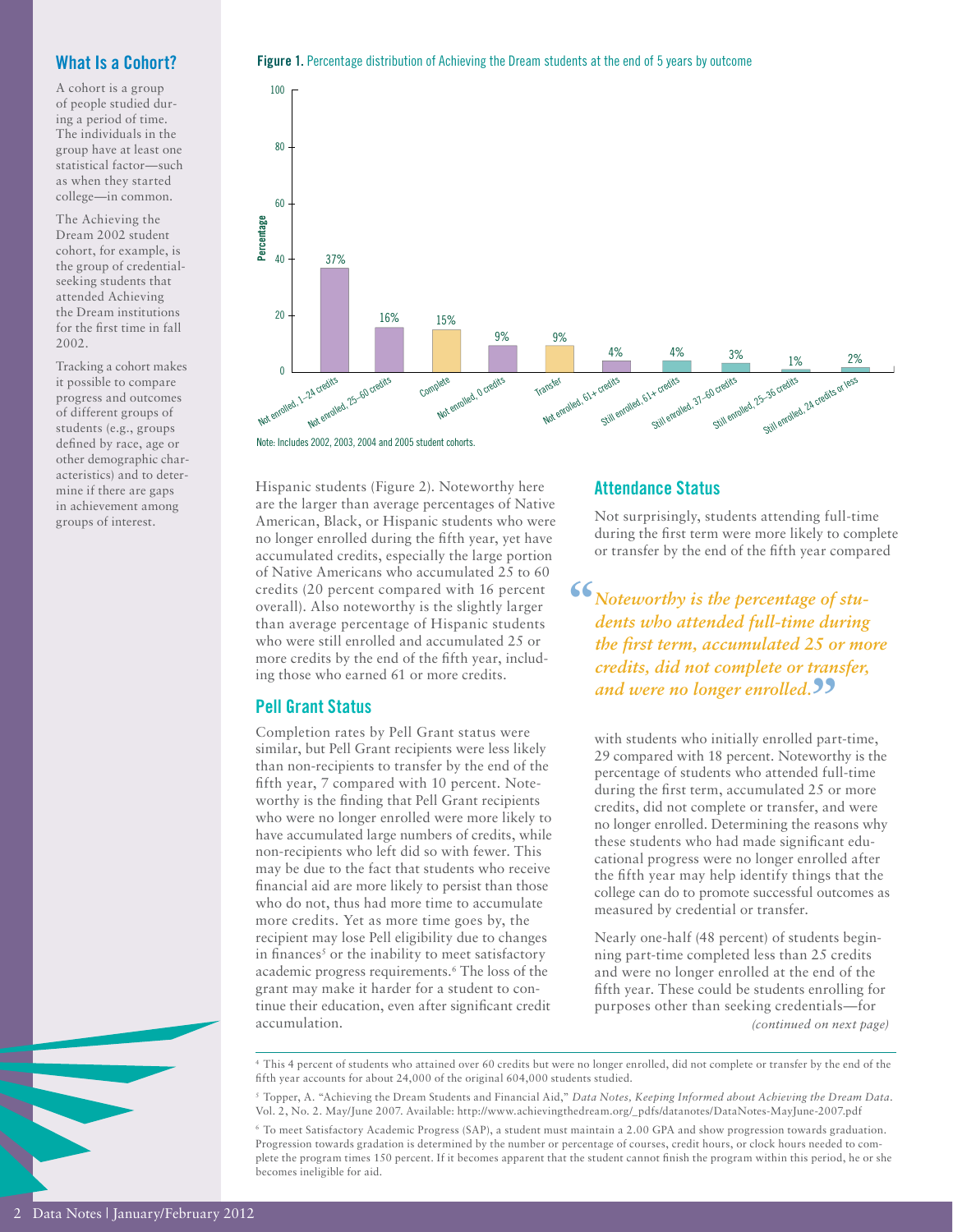### What Is a Cohort?

A cohort is a group of people studied during a period of time. The individuals in the group have at least one statistical factor—such as when they started college—in common.

The Achieving the Dream 2002 student cohort, for example, is the group of credentialseeking students that attended Achieving the Dream institutions for the first time in fall 2002.

Tracking a cohort makes it possible to compare progress and outcomes of different groups of students (e.g., groups defined by race, age or other demographic characteristics) and to determine if there are gaps in achievement among groups of interest.





Hispanic students (Figure 2). Noteworthy here are the larger than average percentages of Native American, Black, or Hispanic students who were no longer enrolled during the fifth year, yet have accumulated credits, especially the large portion of Native Americans who accumulated 25 to 60 credits (20 percent compared with 16 percent overall). Also noteworthy is the slightly larger than average percentage of Hispanic students who were still enrolled and accumulated 25 or more credits by the end of the fifth year, including those who earned 61 or more credits.

#### Pell Grant Status

Completion rates by Pell Grant status were similar, but Pell Grant recipients were less likely than non-recipients to transfer by the end of the fifth year, 7 compared with 10 percent. Noteworthy is the finding that Pell Grant recipients who were no longer enrolled were more likely to have accumulated large numbers of credits, while non-recipients who left did so with fewer. This may be due to the fact that students who receive financial aid are more likely to persist than those who do not, thus had more time to accumulate more credits. Yet as more time goes by, the recipient may lose Pell eligibility due to changes in finances<sup>5</sup> or the inability to meet satisfactory academic progress requirements.6 The loss of the grant may make it harder for a student to continue their education, even after significant credit accumulation.

#### Attendance Status

Not surprisingly, students attending full-time during the first term were more likely to complete or transfer by the end of the fifth year compared

**"***Noteworthy is the percentage of students who attended full-time during the first term, accumulated 25 or more credits, did not complete or transfer,*  and were no longer enrolled.<sup>99</sup>

with students who initially enrolled part-time, 29 compared with 18 percent. Noteworthy is the percentage of students who attended full-time during the first term, accumulated 25 or more credits, did not complete or transfer, and were no longer enrolled. Determining the reasons why these students who had made significant educational progress were no longer enrolled after the fifth year may help identify things that the college can do to promote successful outcomes as measured by credential or transfer.

Nearly one-half (48 percent) of students beginning part-time completed less than 25 credits and were no longer enrolled at the end of the fifth year. These could be students enrolling for purposes other than seeking credentials—for *(continued on next page)*

<sup>4</sup> This 4 percent of students who attained over 60 credits but were no longer enrolled, did not complete or transfer by the end of the fifth year accounts for about 24,000 of the original 604,000 students studied.

<sup>5</sup> Topper, A. "Achieving the Dream Students and Financial Aid," *Data Notes, Keeping Informed about Achieving the Dream Data*. Vol. 2, No. 2. May/June 2007. Available: http://www.achievingthedream.org/\_pdfs/datanotes/DataNotes-MayJune-2007.pdf

<sup>6</sup> To meet Satisfactory Academic Progress (SAP), a student must maintain a 2.00 GPA and show progression towards graduation. Progression towards gradation is determined by the number or percentage of courses, credit hours, or clock hours needed to complete the program times 150 percent. If it becomes apparent that the student cannot finish the program within this period, he or she becomes ineligible for aid.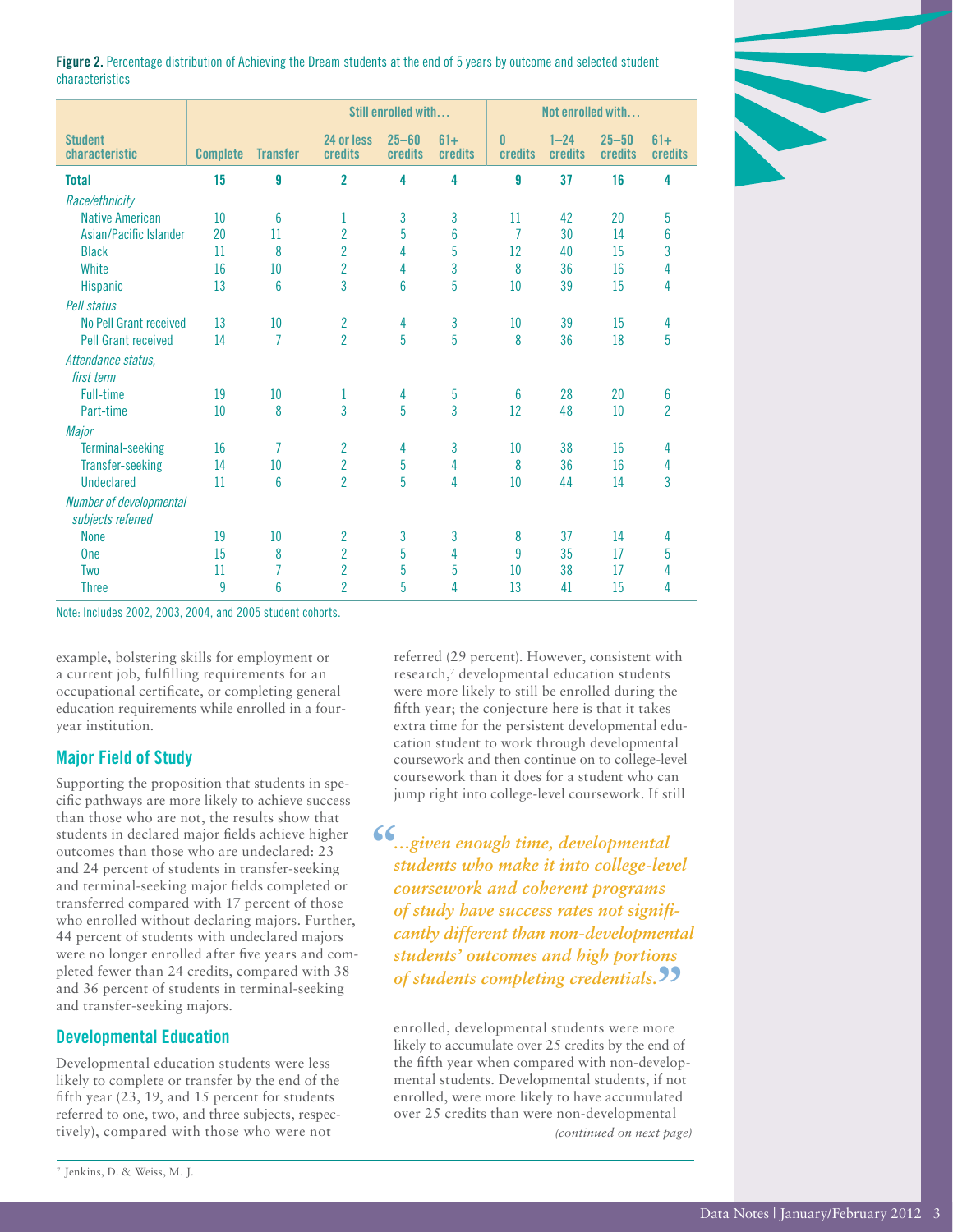

Figure 2. Percentage distribution of Achieving the Dream students at the end of 5 years by outcome and selected student characteristics

|                                  |                 |                 | Still enrolled with   |                      |                  | Not enrolled with   |                     |                             |                  |
|----------------------------------|-----------------|-----------------|-----------------------|----------------------|------------------|---------------------|---------------------|-----------------------------|------------------|
| <b>Student</b><br>characteristic | <b>Complete</b> | <b>Transfer</b> | 24 or less<br>credits | $25 - 60$<br>credits | $61+$<br>credits | $\bf{0}$<br>credits | $1 - 24$<br>credits | $25 - 50$<br><b>credits</b> | $61+$<br>credits |
| <b>Total</b>                     | 15              | 9               | $\overline{2}$        | 4                    | 4                | 9                   | 37                  | 16                          | 4                |
| Race/ethnicity                   |                 |                 |                       |                      |                  |                     |                     |                             |                  |
| <b>Native American</b>           | 10              | 6               | 1                     | 3                    | 3                | 11                  | 42                  | 20                          | 5                |
| Asian/Pacific Islander           | 20              | 11              | $\overline{2}$        | 5                    | 6                | $\overline{7}$      | 30                  | 14                          | 6                |
| <b>Black</b>                     | 11              | 8               | $\overline{2}$        | 4                    | 5                | 12                  | 40                  | 15                          | 3                |
| White                            | 16              | 10              | $\overline{2}$        | 4                    | $\overline{3}$   | 8                   | 36                  | 16                          | 4                |
| <b>Hispanic</b>                  | 13              | 6               | 3                     | 6                    | 5                | 10                  | 39                  | 15                          | 4                |
| Pell status                      |                 |                 |                       |                      |                  |                     |                     |                             |                  |
| No Pell Grant received           | 13              | 10              | $\overline{c}$        | 4                    | 3                | 10                  | 39                  | 15                          | 4                |
| <b>Pell Grant received</b>       | 14              | $\overline{7}$  | $\overline{2}$        | 5                    | 5                | 8                   | 36                  | 18                          | 5                |
| Attendance status.               |                 |                 |                       |                      |                  |                     |                     |                             |                  |
| first term                       |                 |                 |                       |                      |                  |                     |                     |                             |                  |
| <b>Full-time</b>                 | 19              | 10              | 1                     | 4                    | 5                | 6                   | 28                  | 20                          | 6                |
| Part-time                        | 10              | 8               | $\overline{3}$        | 5                    | $\overline{3}$   | 12                  | 48                  | 10                          | $\overline{2}$   |
| Major                            |                 |                 |                       |                      |                  |                     |                     |                             |                  |
| <b>Terminal-seeking</b>          | 16              | 7               | $\overline{2}$        | 4                    | 3                | 10                  | 38                  | 16                          | 4                |
| <b>Transfer-seeking</b>          | 14              | 10              | $\overline{2}$        | 5                    | 4                | 8                   | 36                  | 16                          | 4                |
| <b>Undeclared</b>                | 11              | 6               | $\overline{2}$        | 5                    | 4                | 10                  | 44                  | 14                          | 3                |
| Number of developmental          |                 |                 |                       |                      |                  |                     |                     |                             |                  |
| subjects referred                |                 |                 |                       |                      |                  |                     |                     |                             |                  |
| <b>None</b>                      | 19              | 10              | 2                     | 3                    | 3                | 8                   | 37                  | 14                          | 4                |
| <b>One</b>                       | 15              | 8               | $\overline{2}$        | 5                    | 4                | $\overline{9}$      | 35                  | 17                          | 5                |
| <b>Two</b>                       | 11              | 7               | $\overline{2}$        | 5                    | 5                | 10                  | 38                  | 17                          | 4                |
| <b>Three</b>                     | 9               | 6               | $\overline{2}$        | 5                    | 4                | 13                  | 41                  | 15                          | 4                |

Note: Includes 2002, 2003, 2004, and 2005 student cohorts.

example, bolstering skills for employment or a current job, fulfilling requirements for an occupational certificate, or completing general education requirements while enrolled in a fouryear institution.

#### Major Field of Study

Supporting the proposition that students in specific pathways are more likely to achieve success than those who are not, the results show that students in declared major fields achieve higher outcomes than those who are undeclared: 23 and 24 percent of students in transfer-seeking and terminal-seeking major fields completed or transferred compared with 17 percent of those who enrolled without declaring majors. Further, 44 percent of students with undeclared majors were no longer enrolled after five years and completed fewer than 24 credits, compared with 38 and 36 percent of students in terminal-seeking and transfer-seeking majors.

#### Developmental Education

Developmental education students were less likely to complete or transfer by the end of the fifth year (23, 19, and 15 percent for students referred to one, two, and three subjects, respectively), compared with those who were not

referred (29 percent). However, consistent with research,<sup>7</sup> developmental education students were more likely to still be enrolled during the fifth year; the conjecture here is that it takes extra time for the persistent developmental education student to work through developmental coursework and then continue on to college-level coursework than it does for a student who can jump right into college-level coursework. If still

**"***…given enough time, developmental students who make it into college-level coursework and coherent programs of study have success rates not significantly different than non-developmental students' outcomes and high portions of students completing credentials.* **"**

enrolled, developmental students were more likely to accumulate over 25 credits by the end of the fifth year when compared with non-developmental students. Developmental students, if not enrolled, were more likely to have accumulated over 25 credits than were non-developmental *(continued on next page)*